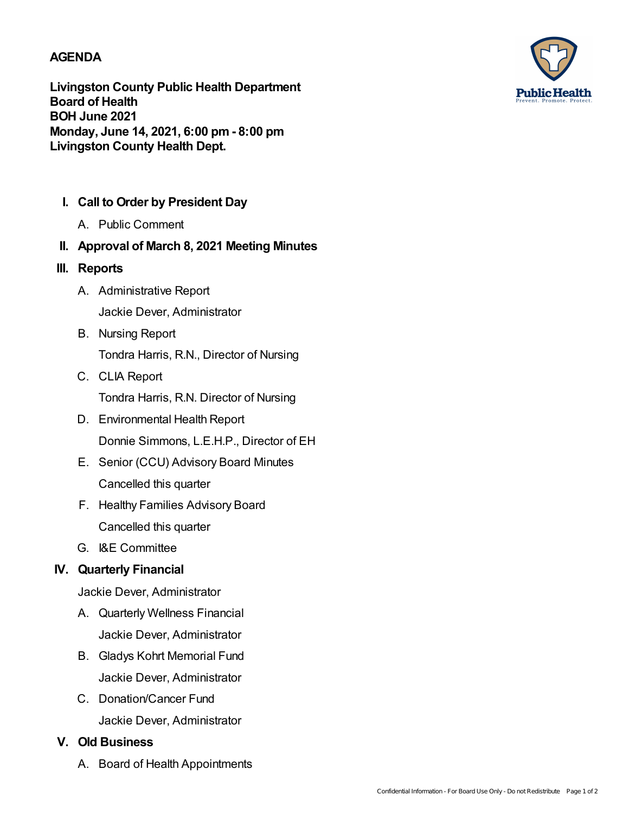### **AGENDA**

**Livingston County Public Health Department Board of Health BOH June 2021 Monday, June 14, 2021, 6:00 pm- 8:00 pm Livingston County Health Dept.**

- **I. Call to Order by President Day**
	- A. Public Comment
- **II. Approval of March 8, 2021 Meeting Minutes**
- **III. Reports**
	- A. Administrative Report Jackie Dever, Administrator
	- B. Nursing Report Tondra Harris, R.N., Director of Nursing
	- C. CLIA Report Tondra Harris, R.N. Director of Nursing
	- D. Environmental Health Report Donnie Simmons, L.E.H.P., Director of EH
	- E. Senior (CCU) Advisory Board Minutes Cancelled this quarter
	- F. Healthy Families Advisory Board Cancelled this quarter
	- G. I&E Committee

# **IV. Quarterly Financial**

Jackie Dever, Administrator

- A. Quarterly Wellness Financial Jackie Dever, Administrator
- B. Gladys Kohrt Memorial Fund Jackie Dever, Administrator
- C. Donation/Cancer Fund Jackie Dever, Administrator

# **V. Old Business**

A. Board of Health Appointments